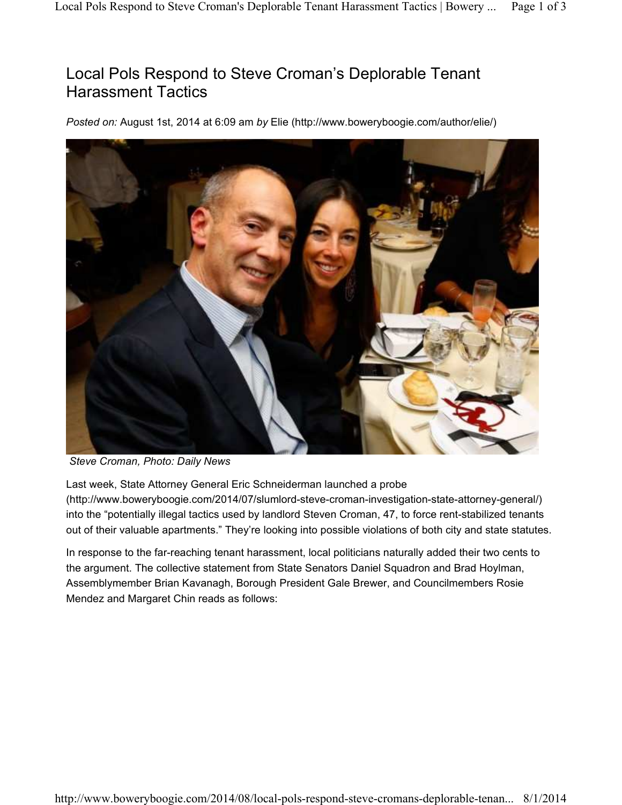## Local Pols Respond to Steve Croman's Deplorable Tenant Harassment Tactics

*Posted on:* August 1st, 2014 at 6:09 am *by* Elie (http://www.boweryboogie.com/author/elie/)



*Steve Croman, Photo: Daily News*

Last week, State Attorney General Eric Schneiderman launched a probe (http://www.boweryboogie.com/2014/07/slumlord-steve-croman-investigation-state-attorney-general/) into the "potentially illegal tactics used by landlord Steven Croman, 47, to force rent-stabilized tenants out of their valuable apartments." They're looking into possible violations of both city and state statutes.

In response to the far-reaching tenant harassment, local politicians naturally added their two cents to the argument. The collective statement from State Senators Daniel Squadron and Brad Hoylman, Assemblymember Brian Kavanagh, Borough President Gale Brewer, and Councilmembers Rosie Mendez and Margaret Chin reads as follows: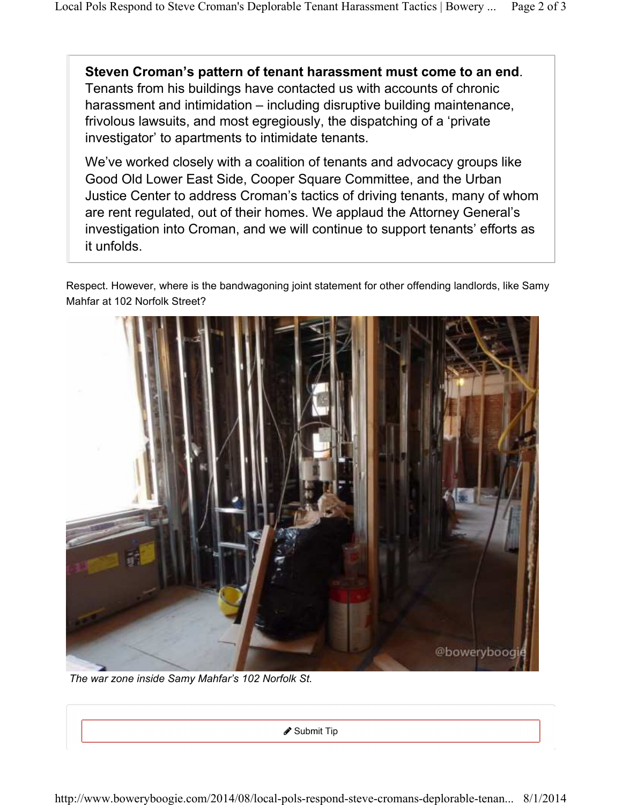**Steven Croman's pattern of tenant harassment must come to an end**. Tenants from his buildings have contacted us with accounts of chronic harassment and intimidation – including disruptive building maintenance, frivolous lawsuits, and most egregiously, the dispatching of a 'private investigator' to apartments to intimidate tenants.

We've worked closely with a coalition of tenants and advocacy groups like Good Old Lower East Side, Cooper Square Committee, and the Urban Justice Center to address Croman's tactics of driving tenants, many of whom are rent regulated, out of their homes. We applaud the Attorney General's investigation into Croman, and we will continue to support tenants' efforts as it unfolds.

Respect. However, where is the bandwagoning joint statement for other offending landlords, like Samy Mahfar at 102 Norfolk Street?



*The war zone inside Samy Mahfar's 102 Norfolk St.*

Submit Tip